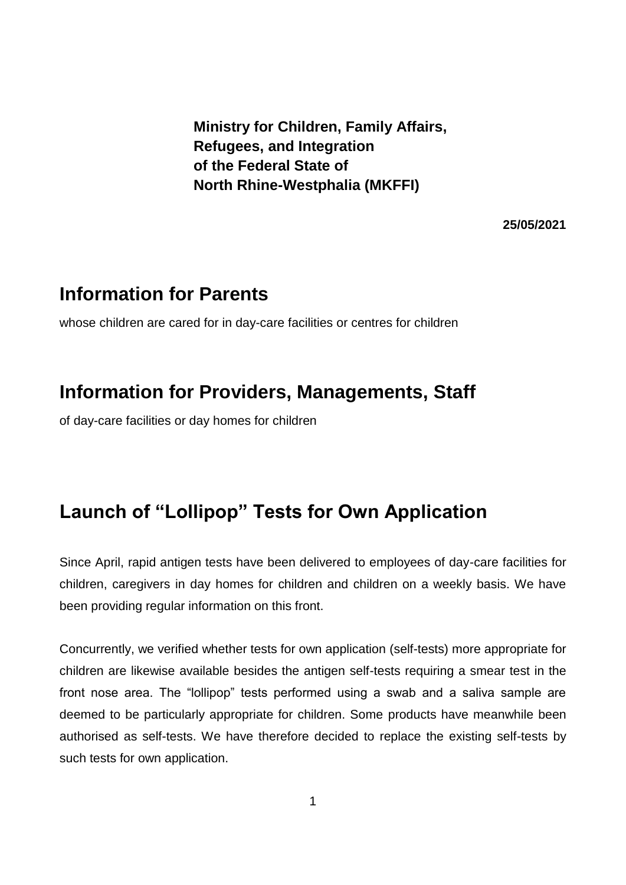**Ministry for Children, Family Affairs, Refugees, and Integration of the Federal State of North Rhine-Westphalia (MKFFI)**

**25/05/2021**

## **Information for Parents**

whose children are cared for in day-care facilities or centres for children

## **Information for Providers, Managements, Staff**

of day-care facilities or day homes for children

## **Launch of "Lollipop" Tests for Own Application**

Since April, rapid antigen tests have been delivered to employees of day-care facilities for children, caregivers in day homes for children and children on a weekly basis. We have been providing regular information on this front.

Concurrently, we verified whether tests for own application (self-tests) more appropriate for children are likewise available besides the antigen self-tests requiring a smear test in the front nose area. The "lollipop" tests performed using a swab and a saliva sample are deemed to be particularly appropriate for children. Some products have meanwhile been authorised as self-tests. We have therefore decided to replace the existing self-tests by such tests for own application.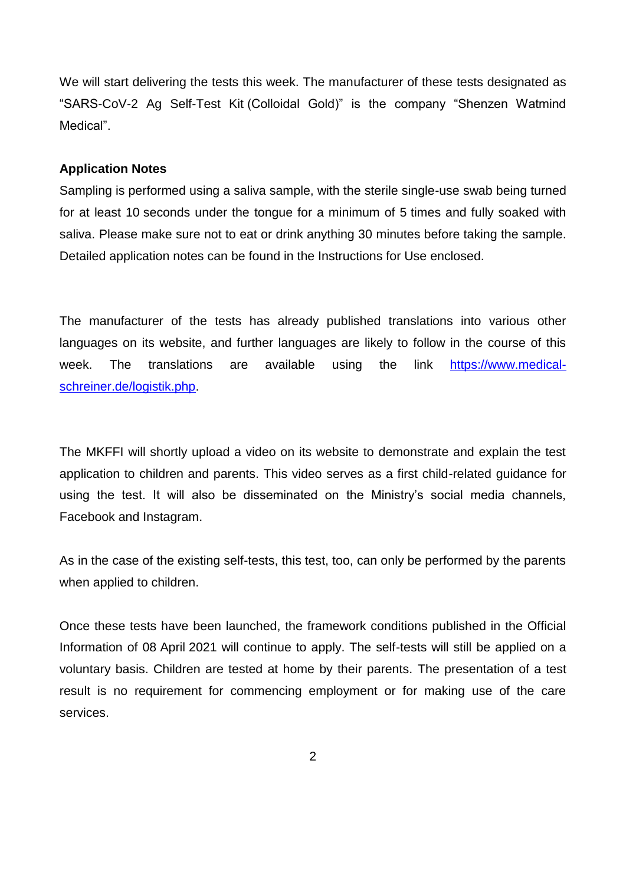We will start delivering the tests this week. The manufacturer of these tests designated as "SARS-CoV-2 Ag Self-Test Kit (Colloidal Gold)" is the company "Shenzen Watmind Medical".

## **Application Notes**

Sampling is performed using a saliva sample, with the sterile single-use swab being turned for at least 10 seconds under the tongue for a minimum of 5 times and fully soaked with saliva. Please make sure not to eat or drink anything 30 minutes before taking the sample. Detailed application notes can be found in the Instructions for Use enclosed.

The manufacturer of the tests has already published translations into various other languages on its website, and further languages are likely to follow in the course of this week. The translations are available using the link [https://www.medical](https://www.medical-schreiner.de/logistik.php)[schreiner.de/logistik.php.](https://www.medical-schreiner.de/logistik.php)

The MKFFI will shortly upload a video on its website to demonstrate and explain the test application to children and parents. This video serves as a first child-related guidance for using the test. It will also be disseminated on the Ministry's social media channels, Facebook and Instagram.

As in the case of the existing self-tests, this test, too, can only be performed by the parents when applied to children.

Once these tests have been launched, the framework conditions published in the Official Information of 08 April 2021 will continue to apply. The self-tests will still be applied on a voluntary basis. Children are tested at home by their parents. The presentation of a test result is no requirement for commencing employment or for making use of the care services.